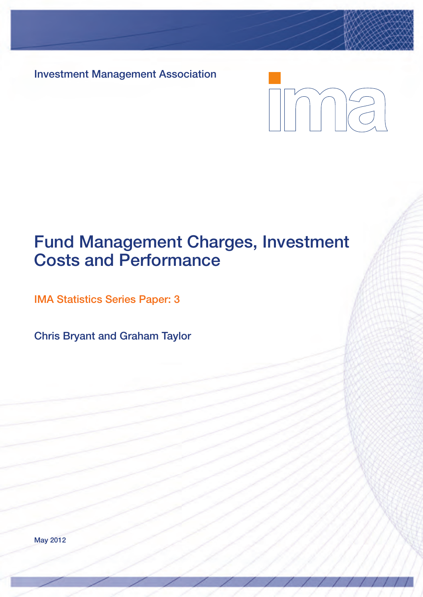**Investment Management Association**

# Inne

# **Fund Management Charges, Investment Costs and Performance**

**IMA Statistics Series Paper: 3**

**Chris Bryant and Graham Taylor**

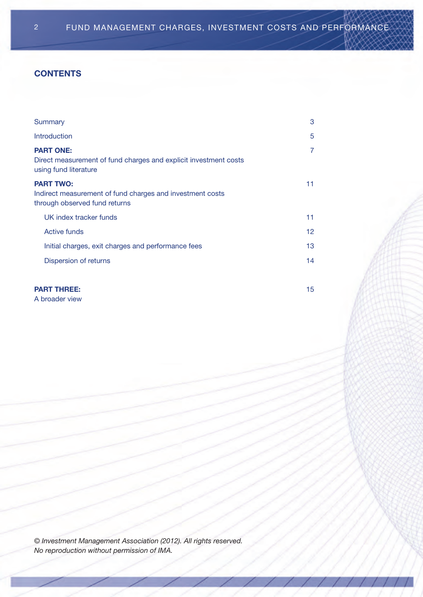#### **CONTENTS**

| Summary                                                                                                        | 3               |
|----------------------------------------------------------------------------------------------------------------|-----------------|
| Introduction                                                                                                   | 5               |
| <b>PART ONE:</b><br>Direct measurement of fund charges and explicit investment costs<br>using fund literature  | 7               |
| <b>PART TWO:</b><br>Indirect measurement of fund charges and investment costs<br>through observed fund returns | 11              |
| UK index tracker funds                                                                                         | 11              |
| Active funds                                                                                                   | 12 <sup>2</sup> |
| Initial charges, exit charges and performance fees                                                             | 13              |
| Dispersion of returns                                                                                          | 14              |
|                                                                                                                |                 |
| <b>PART THREE:</b>                                                                                             | 15              |

a broader view

*© Investment Management Association (2012). All rights reserved. No reproduction without permission of IMA.*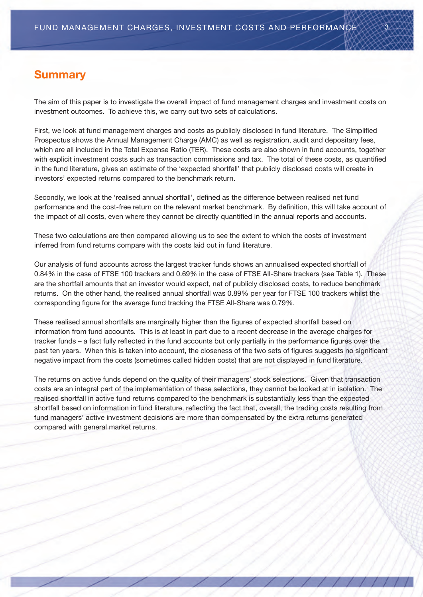# **Summary**

The aim of this paper is to investigate the overall impact of fund management charges and investment costs on investment outcomes. To achieve this, we carry out two sets of calculations.

First, we look at fund management charges and costs as publicly disclosed in fund literature. The Simplified Prospectus shows the Annual Management Charge (AMC) as well as registration, audit and depositary fees, which are all included in the Total Expense Ratio (TER). These costs are also shown in fund accounts, together with explicit investment costs such as transaction commissions and tax. The total of these costs, as quantified in the fund literature, gives an estimate of the 'expected shortfall' that publicly disclosed costs will create in investors' expected returns compared to the benchmark return.

Secondly, we look at the 'realised annual shortfall', defined as the difference between realised net fund performance and the cost-free return on the relevant market benchmark. By definition, this will take account of the impact of all costs, even where they cannot be directly quantified in the annual reports and accounts.

These two calculations are then compared allowing us to see the extent to which the costs of investment inferred from fund returns compare with the costs laid out in fund literature.

Our analysis of fund accounts across the largest tracker funds shows an annualised expected shortfall of 0.84% in the case of FTSE 100 trackers and 0.69% in the case of FTSE All-Share trackers (see Table 1). These are the shortfall amounts that an investor would expect, net of publicly disclosed costs, to reduce benchmark returns. On the other hand, the realised annual shortfall was 0.89% per year for FTSE 100 trackers whilst the corresponding figure for the average fund tracking the Ftse all-share was 0.79%.

These realised annual shortfalls are marginally higher than the figures of expected shortfall based on information from fund accounts. This is at least in part due to a recent decrease in the average charges for tracker funds – a fact fully reflected in the fund accounts but only partially in the performance figures over the past ten years. When this is taken into account, the closeness of the two sets of figures suggests no significant negative impact from the costs (sometimes called hidden costs) that are not displayed in fund literature.

The returns on active funds depend on the quality of their managers' stock selections. Given that transaction costs are an integral part of the implementation of these selections, they cannot be looked at in isolation. The realised shortfall in active fund returns compared to the benchmark is substantially less than the expected shortfall based on information in fund literature, reflecting the fact that, overall, the trading costs resulting from fund managers' active investment decisions are more than compensated by the extra returns generated compared with general market returns.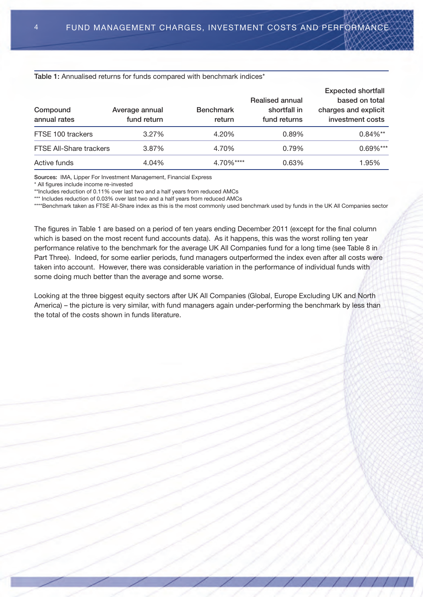#### Table 1: Annualised returns for funds compared with benchmark indices<sup>\*</sup>

| Compound<br>annual rates       | Average annual<br>fund return | <b>Benchmark</b><br>return | Realised annual<br>shortfall in<br>fund returns | <b>Expected shortfall</b><br>based on total<br>charges and explicit<br>investment costs |
|--------------------------------|-------------------------------|----------------------------|-------------------------------------------------|-----------------------------------------------------------------------------------------|
| FTSE 100 trackers              | 3.27%                         | 4.20%                      | 0.89%                                           | $0.84\%**$                                                                              |
| <b>FTSE All-Share trackers</b> | 3.87%                         | 4.70%                      | 0.79%                                           | $0.69\%***$                                                                             |
| Active funds                   | 4.04%                         | 4.70%****                  | 0.63%                                           | 1.95%                                                                                   |

**Sources: IMA, Lipper For Investment Management, Financial Express** 

\* all figures include income re-invested

\*\*Includes reduction of 0.11% over last two and a half years from reduced AMCs

\*\*\* Includes reduction of 0.03% over last two and a half years from reduced AMCs

\*\*\*\*Benchmark taken as FTSE All-Share index as this is the most commonly used benchmark used by funds in the UK All Companies sector

The figures in Table 1 are based on a period of ten years ending December 2011 (except for the final column which is based on the most recent fund accounts data). As it happens, this was the worst rolling ten year performance relative to the benchmark for the average UK All Companies fund for a long time (see Table 8 in Part Three). Indeed, for some earlier periods, fund managers outperformed the index even after all costs were taken into account. However, there was considerable variation in the performance of individual funds with some doing much better than the average and some worse.

Looking at the three biggest equity sectors after UK All Companies (Global, Europe Excluding UK and North America) – the picture is very similar, with fund managers again under-performing the benchmark by less than the total of the costs shown in funds literature.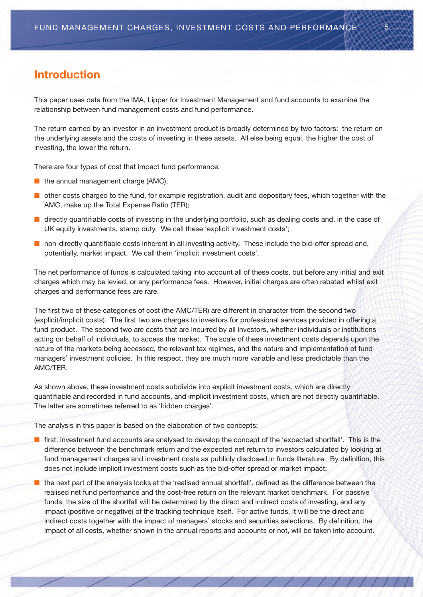# **Introduction**

This paper uses data from the IMA, Lipper for Investment Management and fund accounts to examine the relationship between fund management costs and fund performance.

The return earned by an investor in an investment product is broadly determined by two factors: the return on the underlying assets and the costs of investing in these assets. all else being equal, the higher the cost of investing, the lower the return.

There are four types of cost that impact fund performance:

- $\blacksquare$  the annual management charge (AMC);
- n other costs charged to the fund, for example registration, audit and depositary fees, which together with the AMC, make up the Total Expense Ratio (TER);
- n directly quantifiable costs of investing in the underlying portfolio, such as dealing costs and, in the case of UK equity investments, stamp duty. We call these 'explicit investment costs';
- $\blacksquare$  non-directly quantifiable costs inherent in all investing activity. These include the bid-offer spread and, potentially, market impact. We call them 'implicit investment costs'.

The net performance of funds is calculated taking into account all of these costs, but before any initial and exit charges which may be levied, or any performance fees. however, initial charges are often rebated whilst exit charges and performance fees are rare.

The first two of these categories of cost (the AMC/TER) are different in character from the second two (explicit/implicit costs). The first two are charges to investors for professional services provided in offering a fund product. The second two are costs that are incurred by all investors, whether individuals or institutions acting on behalf of individuals, to access the market. The scale of these investment costs depends upon the nature of the markets being accessed, the relevant tax regimes, and the nature and implementation of fund managers' investment policies. in this respect, they are much more variable and less predictable than the AMC/TER.

As shown above, these investment costs subdivide into explicit investment costs, which are directly quantifiable and recorded in fund accounts, and implicit investment costs, which are not directly quantifiable. The latter are sometimes referred to as 'hidden charges'.

The analysis in this paper is based on the elaboration of two concepts:

- $\blacksquare$  first, investment fund accounts are analysed to develop the concept of the 'expected shortfall'. This is the difference between the benchmark return and the expected net return to investors calculated by looking at fund management charges and investment costs as publicly disclosed in funds literature. By definition, this does not include implicit investment costs such as the bid-offer spread or market impact;
- $\blacksquare$  the next part of the analysis looks at the 'realised annual shortfall', defined as the difference between the realised net fund performance and the cost-free return on the relevant market benchmark. For passive funds, the size of the shortfall will be determined by the direct and indirect costs of investing, and any impact (positive or negative) of the tracking technique itself. For active funds, it will be the direct and indirect costs together with the impact of managers' stocks and securities selections. By definition, the impact of all costs, whether shown in the annual reports and accounts or not, will be taken into account.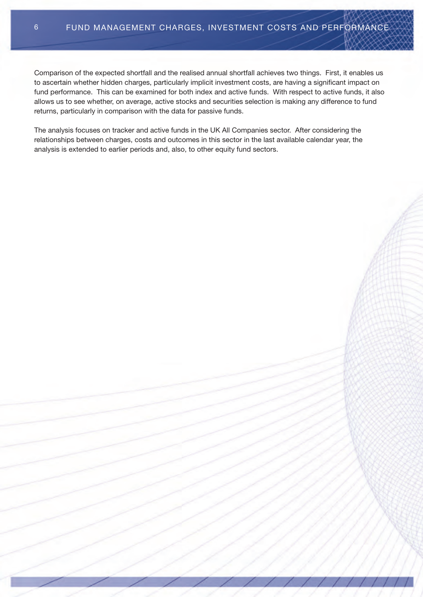comparison of the expected shortfall and the realised annual shortfall achieves two things. First, it enables us to ascertain whether hidden charges, particularly implicit investment costs, are having a significant impact on fund performance. This can be examined for both index and active funds. With respect to active funds, it also allows us to see whether, on average, active stocks and securities selection is making any difference to fund returns, particularly in comparison with the data for passive funds.

The analysis focuses on tracker and active funds in the UK All Companies sector. After considering the relationships between charges, costs and outcomes in this sector in the last available calendar year, the analysis is extended to earlier periods and, also, to other equity fund sectors.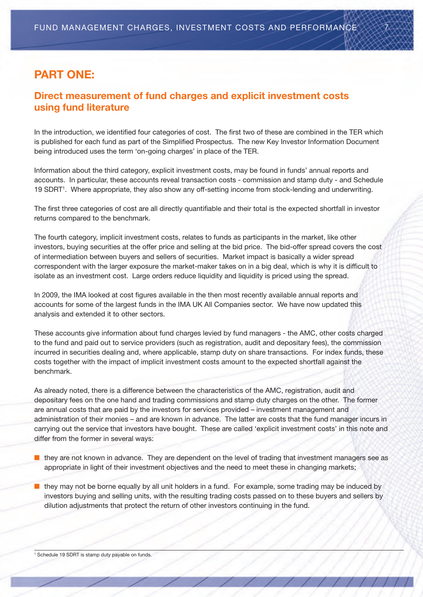# **PART ONE:**

## **Direct measurement of fund charges and explicit investment costs using fund literature**

In the introduction, we identified four categories of cost. The first two of these are combined in the TER which is published for each fund as part of the Simplified Prospectus. The new Key Investor Information Document being introduced uses the term 'on-going charges' in place of the TER.

information about the third category, explicit investment costs, may be found in funds' annual reports and accounts. in particular, these accounts reveal transaction costs - commission and stamp duty - and schedule 19 SDRT<sup>1</sup>. Where appropriate, they also show any off-setting income from stock-lending and underwriting.

The first three categories of cost are all directly quantifiable and their total is the expected shortfall in investor returns compared to the benchmark.

The fourth category, implicit investment costs, relates to funds as participants in the market, like other investors, buying securities at the offer price and selling at the bid price. the bid-offer spread covers the cost of intermediation between buyers and sellers of securities. market impact is basically a wider spread correspondent with the larger exposure the market-maker takes on in a big deal, which is why it is difficult to isolate as an investment cost. Large orders reduce liquidity and liquidity is priced using the spread.

In 2009, the IMA looked at cost figures available in the then most recently available annual reports and accounts for some of the largest funds in the IMA UK All Companies sector. We have now updated this analysis and extended it to other sectors.

These accounts give information about fund charges levied by fund managers - the AMC, other costs charged to the fund and paid out to service providers (such as registration, audit and depositary fees), the commission incurred in securities dealing and, where applicable, stamp duty on share transactions. For index funds, these costs together with the impact of implicit investment costs amount to the expected shortfall against the benchmark.

As already noted, there is a difference between the characteristics of the AMC, registration, audit and depositary fees on the one hand and trading commissions and stamp duty charges on the other. The former are annual costs that are paid by the investors for services provided – investment management and administration of their monies – and are known in advance. the latter are costs that the fund manager incurs in carrying out the service that investors have bought. These are called 'explicit investment costs' in this note and differ from the former in several ways:

n they are not known in advance. They are dependent on the level of trading that investment managers see as appropriate in light of their investment objectives and the need to meet these in changing markets;

 $\blacksquare$  they may not be borne equally by all unit holders in a fund. For example, some trading may be induced by investors buying and selling units, with the resulting trading costs passed on to these buyers and sellers by dilution adjustments that protect the return of other investors continuing in the fund.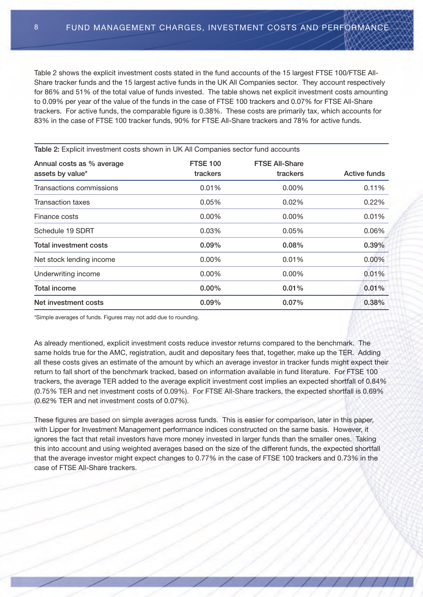Table 2 shows the explicit investment costs stated in the fund accounts of the 15 largest FTSE 100/FTSE All-Share tracker funds and the 15 largest active funds in the UK All Companies sector. They account respectively for 86% and 51% of the total value of funds invested. The table shows net explicit investment costs amounting to 0.09% per year of the value of the funds in the case of FTSE 100 trackers and 0.07% for FTSE All-Share trackers. For active funds, the comparable figure is 0.38%. these costs are primarily tax, which accounts for 83% in the case of FTSE 100 tracker funds, 90% for FTSE All-Share trackers and 78% for active funds.

| Table 2: Explicit investment costs shown in UK All Companies sector fund accounts |                             |                                   |              |  |  |
|-----------------------------------------------------------------------------------|-----------------------------|-----------------------------------|--------------|--|--|
| Annual costs as % average<br>assets by value*                                     | <b>FTSE 100</b><br>trackers | <b>FTSE All-Share</b><br>trackers | Active funds |  |  |
| Transactions commissions                                                          | 0.01%                       | $0.00\%$                          | 0.11%        |  |  |
| <b>Transaction taxes</b>                                                          | 0.05%                       | $0.02\%$                          | 0.22%        |  |  |
| Finance costs                                                                     | $0.00\%$                    | $0.00\%$                          | 0.01%        |  |  |
| Schedule 19 SDRT                                                                  | 0.03%                       | 0.05%                             | 0.06%        |  |  |
| <b>Total investment costs</b>                                                     | $0.09\%$                    | $0.08\%$                          | 0.39%        |  |  |
| Net stock lending income                                                          | $0.00\%$                    | 0.01%                             | 0.00%        |  |  |
| Underwriting income                                                               | $0.00\%$                    | $0.00\%$                          | 0.01%        |  |  |
| <b>Total income</b>                                                               | $0.00\%$                    | $0.01\%$                          | 0.01%        |  |  |
| Net investment costs                                                              | $0.09\%$                    | $0.07\%$                          | 0.38%        |  |  |

\*simple averages of funds. Figures may not add due to rounding.

As already mentioned, explicit investment costs reduce investor returns compared to the benchmark. The same holds true for the AMC, registration, audit and depositary fees that, together, make up the TER. Adding all these costs gives an estimate of the amount by which an average investor in tracker funds might expect their return to fall short of the benchmark tracked, based on information available in fund literature. For Ftse 100 trackers, the average TER added to the average explicit investment cost implies an expected shortfall of 0.84% (0.75% TER and net investment costs of 0.09%). For FTSE All-Share trackers, the expected shortfall is 0.69%  $(0.62\%$  TER and net investment costs of  $0.07\%$ ).

These figures are based on simple averages across funds. This is easier for comparison, later in this paper, with Lipper for Investment Management performance indices constructed on the same basis. However, it ignores the fact that retail investors have more money invested in larger funds than the smaller ones. Taking this into account and using weighted averages based on the size of the different funds, the expected shortfall that the average investor might expect changes to 0.77% in the case of FTSE 100 trackers and 0.73% in the case of FTSE All-Share trackers.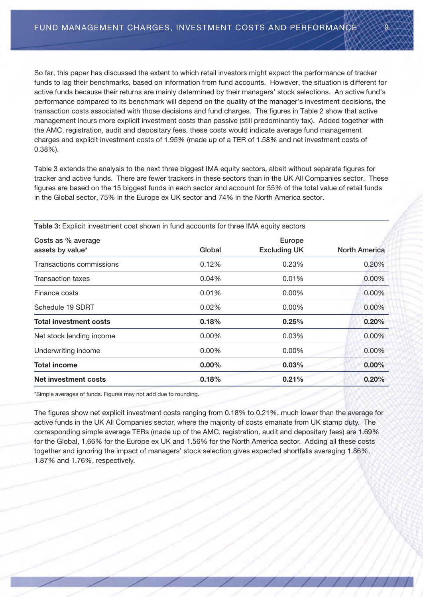so far, this paper has discussed the extent to which retail investors might expect the performance of tracker funds to lag their benchmarks, based on information from fund accounts. however, the situation is different for active funds because their returns are mainly determined by their managers' stock selections. an active fund's performance compared to its benchmark will depend on the quality of the manager's investment decisions, the transaction costs associated with those decisions and fund charges. the figures in table 2 show that active management incurs more explicit investment costs than passive (still predominantly tax). added together with the amc, registration, audit and depositary fees, these costs would indicate average fund management charges and explicit investment costs of 1.95% (made up of a TER of 1.58% and net investment costs of 0.38%).

Table 3 extends the analysis to the next three biggest IMA equity sectors, albeit without separate figures for tracker and active funds. There are fewer trackers in these sectors than in the UK All Companies sector. These figures are based on the 15 biggest funds in each sector and account for 55% of the total value of retail funds in the Global sector, 75% in the Europe ex UK sector and 74% in the North America sector.

| Costs as % average<br>assets by value* | Global   | Europe<br><b>Excluding UK</b> | <b>North America</b> |
|----------------------------------------|----------|-------------------------------|----------------------|
| Transactions commissions               | 0.12%    | 0.23%                         | 0.20%                |
| <b>Transaction taxes</b>               | 0.04%    | 0.01%                         | $0.00\%$             |
| Finance costs                          | 0.01%    | $0.00\%$                      | 0.00%                |
| Schedule 19 SDRT                       | 0.02%    | 0.00%                         | 0.00%                |
| <b>Total investment costs</b>          | 0.18%    | 0.25%                         | 0.20%                |
| Net stock lending income               | $0.00\%$ | 0.03%                         | $0.00\%$             |
| Underwriting income                    | $0.00\%$ | $0.00\%$                      | 0.00%                |
| <b>Total income</b>                    | $0.00\%$ | 0.03%                         | $0.00\%$             |
| Net investment costs                   | 0.18%    | 0.21%                         | 0.20%                |

**Table 3: Explicit investment cost shown in fund accounts for three IMA equity sectors** 

\*simple averages of funds. Figures may not add due to rounding.

The figures show net explicit investment costs ranging from 0.18% to 0.21%, much lower than the average for active funds in the UK All Companies sector, where the majority of costs emanate from UK stamp duty. The corresponding simple average TERs (made up of the AMC, registration, audit and depositary fees) are 1.69% for the Global, 1.66% for the Europe ex UK and 1.56% for the North America sector. Adding all these costs together and ignoring the impact of managers' stock selection gives expected shortfalls averaging 1.86%, 1.87% and 1.76%, respectively.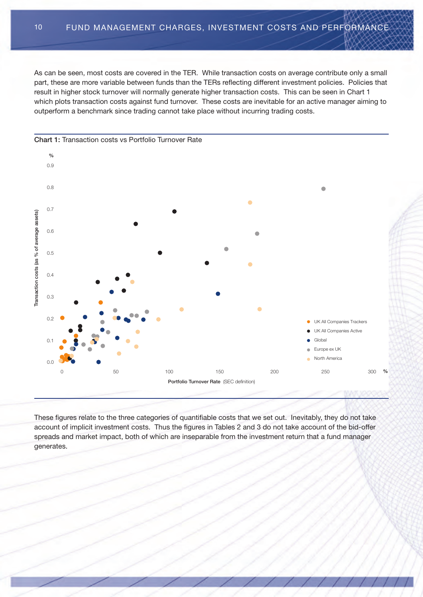As can be seen, most costs are covered in the TER. While transaction costs on average contribute only a small part, these are more variable between funds than the TERs reflecting different investment policies. Policies that result in higher stock turnover will normally generate higher transaction costs. this can be seen in chart 1 which plots transaction costs against fund turnover. These costs are inevitable for an active manager aiming to outperform a benchmark since trading cannot take place without incurring trading costs.



These figures relate to the three categories of quantifiable costs that we set out. Inevitably, they do not take account of implicit investment costs. Thus the figures in Tables 2 and 3 do not take account of the bid-offer spreads and market impact, both of which are inseparable from the investment return that a fund manager generates.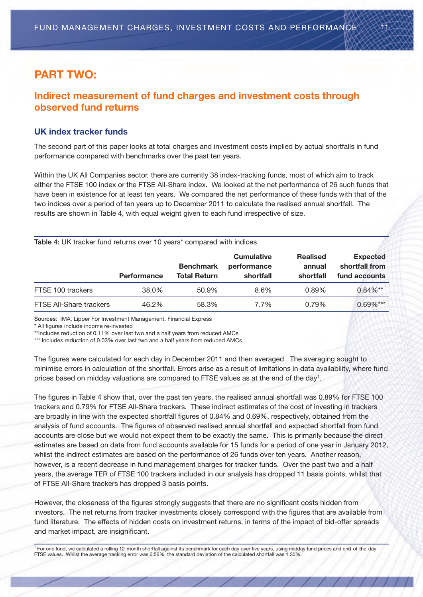# **PART TWO:**

## **Indirect measurement of fund charges and investment costs through observed fund returns**

#### **UK index tracker funds**

The second part of this paper looks at total charges and investment costs implied by actual shortfalls in fund performance compared with benchmarks over the past ten years.

Within the UK All Companies sector, there are currently 38 index-tracking funds, most of which aim to track either the FTSE 100 index or the FTSE All-Share index. We looked at the net performance of 26 such funds that have been in existence for at least ten years. We compared the net performance of these funds with that of the two indices over a period of ten years up to December 2011 to calculate the realised annual shortfall. The results are shown in table 4, with equal weight given to each fund irrespective of size.

| Table 4: UK tracker fund returns over 10 years* compared with indices |                    |                                         |                                               |                                        |                                                    |
|-----------------------------------------------------------------------|--------------------|-----------------------------------------|-----------------------------------------------|----------------------------------------|----------------------------------------------------|
|                                                                       | <b>Performance</b> | <b>Benchmark</b><br><b>Total Return</b> | <b>Cumulative</b><br>performance<br>shortfall | <b>Realised</b><br>annual<br>shortfall | <b>Expected</b><br>shortfall from<br>fund accounts |
| FTSE 100 trackers                                                     | 38.0%              | 50.9%                                   | 8.6%                                          | 0.89%                                  | $0.84\%**$                                         |
| <b>FTSE All-Share trackers</b>                                        | 46.2%              | 58.3%                                   | 7.7%                                          | 0.79%                                  | $0.69\%***$                                        |

**Sources: IMA, Lipper For Investment Management, Financial Express** 

\* all figures include income re-invested

\*\*Includes reduction of 0.11% over last two and a half years from reduced AMCs

\*\*\* Includes reduction of 0.03% over last two and a half years from reduced AMCs

The figures were calculated for each day in December 2011 and then averaged. The averaging sought to minimise errors in calculation of the shortfall. Errors arise as a result of limitations in data availability, where fund prices based on midday valuations are compared to FTSE values as at the end of the day<sup>1</sup>.

The figures in Table 4 show that, over the past ten years, the realised annual shortfall was 0.89% for FTSE 100 trackers and 0.79% for FTSE All-Share trackers. These indirect estimates of the cost of investing in trackers are broadly in line with the expected shortfall figures of 0.84% and 0.69%, respectively, obtained from the analysis of fund accounts. the figures of observed realised annual shortfall and expected shortfall from fund accounts are close but we would not expect them to be exactly the same. this is primarily because the direct estimates are based on data from fund accounts available for 15 funds for a period of one year in January 2012, whilst the indirect estimates are based on the performance of 26 funds over ten years. Another reason, however, is a recent decrease in fund management charges for tracker funds. Over the past two and a half years, the average TER of FTSE 100 trackers included in our analysis has dropped 11 basis points, whilst that of FTSE All-Share trackers has dropped 3 basis points.

however, the closeness of the figures strongly suggests that there are no significant costs hidden from investors. the net returns from tracker investments closely correspond with the figures that are available from fund literature. The effects of hidden costs on investment returns, in terms of the impact of bid-offer spreads and market impact, are insignificant.

<sup>1</sup> For one fund, we calculated a rolling 12-month shortfall against its benchmark for each day over five years, using midday fund prices and end-of-the-day Ftse values. Whilst the average tracking error was 0.56%, the standard deviation of the calculated shortfall was 1.30%.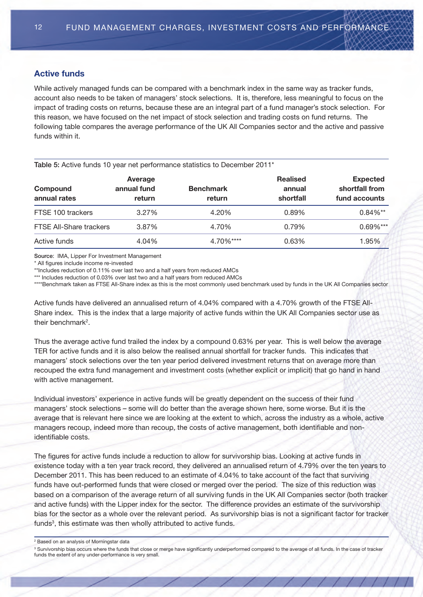#### **Active funds**

While actively managed funds can be compared with a benchmark index in the same way as tracker funds, account also needs to be taken of managers' stock selections. it is, therefore, less meaningful to focus on the impact of trading costs on returns, because these are an integral part of a fund manager's stock selection. For this reason, we have focused on the net impact of stock selection and trading costs on fund returns. the following table compares the average performance of the UK All Companies sector and the active and passive funds within it.

| Compound<br>annual rates       | Average<br>annual fund<br><b>return</b> | <b>Benchmark</b><br>return | <b>Realised</b><br>annual<br>shortfall | <b>Expected</b><br>shortfall from<br>fund accounts |
|--------------------------------|-----------------------------------------|----------------------------|----------------------------------------|----------------------------------------------------|
| FTSE 100 trackers              | 3.27%                                   | 4.20%                      | 0.89%                                  | $0.84\%$ **                                        |
| <b>FTSE All-Share trackers</b> | 3.87%                                   | 4.70%                      | 0.79%                                  | $0.69\%***$                                        |
| Active funds                   | 4.04%                                   | 4.70%****                  | 0.63%                                  | 1.95%                                              |

**Source: IMA, Lipper For Investment Management** 

\* all figures include income re-invested

\*\*Includes reduction of 0.11% over last two and a half years from reduced AMCs

**Table 5:** Active funds 10 year net performance statistics to December 2011<sup>\*</sup>

\*\*\* Includes reduction of 0.03% over last two and a half years from reduced AMCs

\*\*\*\*Benchmark taken as FTSE All-Share index as this is the most commonly used benchmark used by funds in the UK All Companies sector

Active funds have delivered an annualised return of 4.04% compared with a 4.70% growth of the FTSE All-Share index. This is the index that a large majority of active funds within the UK All Companies sector use as their benchmark<sup>2</sup>.

Thus the average active fund trailed the index by a compound 0.63% per year. This is well below the average TER for active funds and it is also below the realised annual shortfall for tracker funds. This indicates that managers' stock selections over the ten year period delivered investment returns that on average more than recouped the extra fund management and investment costs (whether explicit or implicit) that go hand in hand with active management.

individual investors' experience in active funds will be greatly dependent on the success of their fund managers' stock selections – some will do better than the average shown here, some worse. But it is the average that is relevant here since we are looking at the extent to which, across the industry as a whole, active managers recoup, indeed more than recoup, the costs of active management, both identifiable and nonidentifiable costs.

The figures for active funds include a reduction to allow for survivorship bias. Looking at active funds in existence today with a ten year track record, they delivered an annualised return of 4.79% over the ten years to December 2011. This has been reduced to an estimate of 4.04% to take account of the fact that surviving funds have out-performed funds that were closed or merged over the period. The size of this reduction was based on a comparison of the average return of all surviving funds in the UK All Companies sector (both tracker and active funds) with the Lipper index for the sector. The difference provides an estimate of the survivorship bias for the sector as a whole over the relevant period. as survivorship bias is not a significant factor for tracker funds<sup>3</sup>, this estimate was then wholly attributed to active funds.

<sup>2</sup> Based on an analysis of morningstar data

<sup>3</sup> Survivorship bias occurs where the funds that close or merge have significantly underperformed compared to the average of all funds. In the case of tracker funds the extent of any under-performance is very small.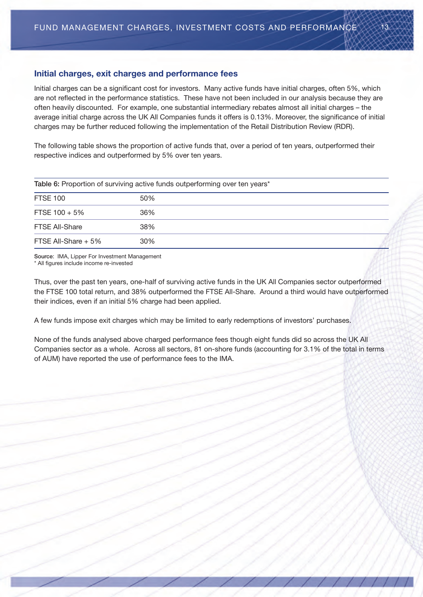#### **Initial charges, exit charges and performance fees**

Initial charges can be a significant cost for investors. Many active funds have initial charges, often 5%, which are not reflected in the performance statistics. These have not been included in our analysis because they are often heavily discounted. For example, one substantial intermediary rebates almost all initial charges – the average initial charge across the UK All Companies funds it offers is 0.13%. Moreover, the significance of initial charges may be further reduced following the implementation of the Retail Distribution Review (RDR).

The following table shows the proportion of active funds that, over a period of ten years, outperformed their respective indices and outperformed by 5% over ten years.

| Table 6: Proportion of surviving active funds outperforming over ten years* |     |  |  |
|-----------------------------------------------------------------------------|-----|--|--|
| <b>FTSE 100</b>                                                             | 50% |  |  |
| FTSE $100 + 5\%$                                                            | 36% |  |  |
| <b>FTSE All-Share</b>                                                       | 38% |  |  |
| FTSE All-Share $+5\%$                                                       | 30% |  |  |

**Source: IMA, Lipper For Investment Management** \* all figures include income re-invested

Thus, over the past ten years, one-half of surviving active funds in the UK All Companies sector outperformed the FTSE 100 total return, and 38% outperformed the FTSE All-Share. Around a third would have outperformed their indices, even if an initial 5% charge had been applied.

a few funds impose exit charges which may be limited to early redemptions of investors' purchases.

None of the funds analysed above charged performance fees though eight funds did so across the UK All Companies sector as a whole. Across all sectors, 81 on-shore funds (accounting for 3.1% of the total in terms of AUM) have reported the use of performance fees to the IMA.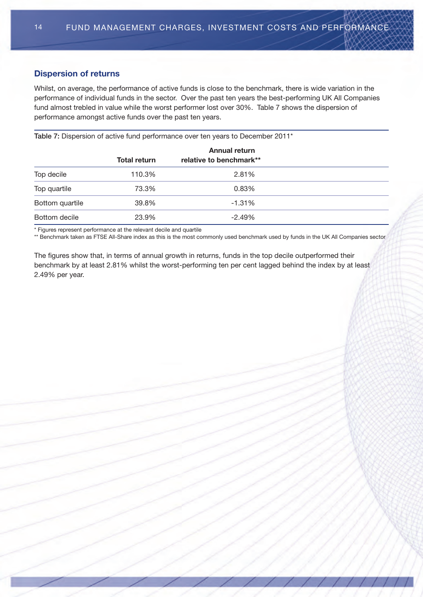#### **Dispersion of returns**

Whilst, on average, the performance of active funds is close to the benchmark, there is wide variation in the performance of individual funds in the sector. Over the past ten years the best-performing UK All Companies fund almost trebled in value while the worst performer lost over 30%. Table 7 shows the dispersion of performance amongst active funds over the past ten years.

Table 7: Dispersion of active fund performance over ten years to December 2011<sup>\*</sup>

|                 |                     | <b>Annual return</b>    |
|-----------------|---------------------|-------------------------|
|                 | <b>Total return</b> | relative to benchmark** |
| Top decile      | 110.3%              | 2.81%                   |
| Top quartile    | 73.3%               | 0.83%                   |
| Bottom quartile | 39.8%               | $-1.31%$                |
| Bottom decile   | 23.9%               | $-2.49%$                |

\* Figures represent performance at the relevant decile and quartile

\*\* Benchmark taken as FTSE All-Share index as this is the most commonly used benchmark used by funds in the UK All Companies sector

The figures show that, in terms of annual growth in returns, funds in the top decile outperformed their benchmark by at least 2.81% whilst the worst-performing ten per cent lagged behind the index by at least 2.49% per year.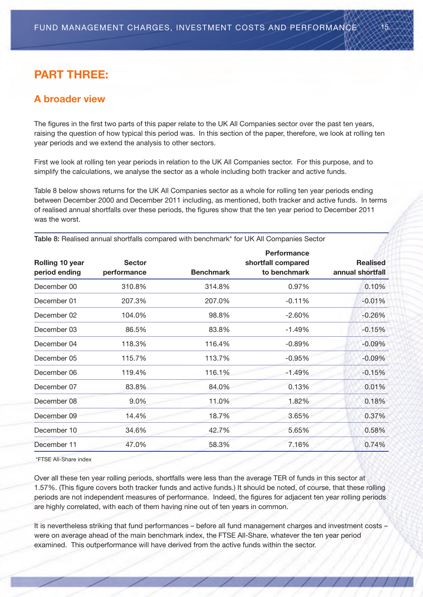# **PART THREE:**

# **A broader view**

The figures in the first two parts of this paper relate to the UK All Companies sector over the past ten years, raising the question of how typical this period was. in this section of the paper, therefore, we look at rolling ten year periods and we extend the analysis to other sectors.

First we look at rolling ten year periods in relation to the UK All Companies sector. For this purpose, and to simplify the calculations, we analyse the sector as a whole including both tracker and active funds.

Table 8 below shows returns for the UK All Companies sector as a whole for rolling ten year periods ending between december 2000 and december 2011 including, as mentioned, both tracker and active funds. in terms of realised annual shortfalls over these periods, the figures show that the ten year period to december 2011 was the worst.

| Rolling 10 year<br>period ending | <b>Sector</b><br>performance | <b>Benchmark</b> | <b>Performance</b><br>shortfall compared<br>to benchmark | <b>Realised</b><br>annual shortfall |
|----------------------------------|------------------------------|------------------|----------------------------------------------------------|-------------------------------------|
| December 00                      | 310.8%                       | 314.8%           | 0.97%                                                    | 0.10%                               |
| December 01                      | 207.3%                       | 207.0%           | $-0.11%$                                                 | $-0.01%$                            |
| December 02                      | 104.0%                       | 98.8%            | $-2.60%$                                                 | $-0.26%$                            |
| December 03                      | 86.5%                        | 83.8%            | $-1.49%$                                                 | $-0.15%$                            |
| December 04                      | 118.3%                       | 116.4%           | $-0.89%$                                                 | $-0.09%$                            |
| December 05                      | 115.7%                       | 113.7%           | $-0.95%$                                                 | $-0.09%$                            |
| December 06                      | 119.4%                       | 116.1%           | $-1.49%$                                                 | $-0.15%$                            |
| December 07                      | 83.8%                        | 84.0%            | 0.13%                                                    | 0.01%                               |
| December 08                      | 9.0%                         | 11.0%            | 1.82%                                                    | 0.18%                               |
| December 09                      | 14.4%                        | 18.7%            | 3.65%                                                    | 0.37%                               |
| December 10                      | 34.6%                        | 42.7%            | 5.65%                                                    | 0.58%                               |
| December 11                      | 47.0%                        | 58.3%            | 7.16%                                                    | 0.74%                               |

Table 8: Realised annual shortfalls compared with benchmark<sup>\*</sup> for UK All Companies Sector

\*Ftse all-share index

Over all these ten year rolling periods, shortfalls were less than the average TER of funds in this sector at 1.57%. (this figure covers both tracker funds and active funds.) it should be noted, of course, that these rolling periods are not independent measures of performance. indeed, the figures for adjacent ten year rolling periods are highly correlated, with each of them having nine out of ten years in common.

It is nevertheless striking that fund performances – before all fund management charges and investment costs – were on average ahead of the main benchmark index, the FTSE All-Share, whatever the ten year period examined. This outperformance will have derived from the active funds within the sector.